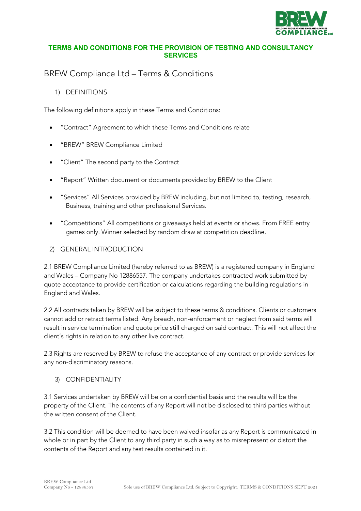

### **TERMS AND CONDITIONS FOR THE PROVISION OF TESTING AND CONSULTANCY SERVICES**

# BREW Compliance Ltd – Terms & Conditions

1) DEFINITIONS

The following definitions apply in these Terms and Conditions:

- "Contract" Agreement to which these Terms and Conditions relate
- "BREW" BREW Compliance Limited
- "Client" The second party to the Contract
- "Report" Written document or documents provided by BREW to the Client
- "Services" All Services provided by BREW including, but not limited to, testing, research, Business, training and other professional Services.
- "Competitions" All competitions or giveaways held at events or shows. From FREE entry games only. Winner selected by random draw at competition deadline.
- 2) GENERAL INTRODUCTION

2.1 BREW Compliance Limited (hereby referred to as BREW) is a registered company in England and Wales – Company No 12886557. The company undertakes contracted work submitted by quote acceptance to provide certification or calculations regarding the building regulations in England and Wales.

2.2 All contracts taken by BREW will be subject to these terms & conditions. Clients or customers cannot add or retract terms listed. Any breach, non-enforcement or neglect from said terms will result in service termination and quote price still charged on said contract. This will not affect the client's rights in relation to any other live contract.

2.3 Rights are reserved by BREW to refuse the acceptance of any contract or provide services for any non-discriminatory reasons.

3) CONFIDENTIALITY

3.1 Services undertaken by BREW will be on a confidential basis and the results will be the property of the Client. The contents of any Report will not be disclosed to third parties without the written consent of the Client.

3.2 This condition will be deemed to have been waived insofar as any Report is communicated in whole or in part by the Client to any third party in such a way as to misrepresent or distort the contents of the Report and any test results contained in it.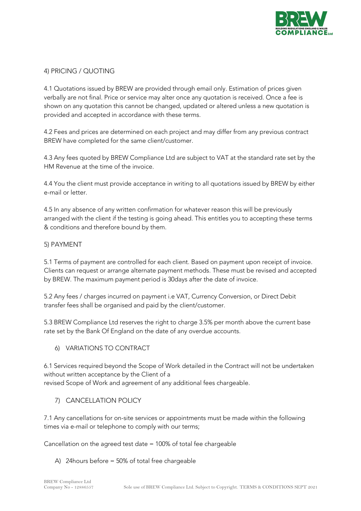

### 4) PRICING / QUOTING

4.1 Quotations issued by BREW are provided through email only. Estimation of prices given verbally are not final. Price or service may alter once any quotation is received. Once a fee is shown on any quotation this cannot be changed, updated or altered unless a new quotation is provided and accepted in accordance with these terms.

4.2 Fees and prices are determined on each project and may differ from any previous contract BREW have completed for the same client/customer.

4.3 Any fees quoted by BREW Compliance Ltd are subject to VAT at the standard rate set by the HM Revenue at the time of the invoice.

4.4 You the client must provide acceptance in writing to all quotations issued by BREW by either e-mail or letter.

4.5 In any absence of any written confirmation for whatever reason this will be previously arranged with the client if the testing is going ahead. This entitles you to accepting these terms & conditions and therefore bound by them.

### 5) PAYMENT

5.1 Terms of payment are controlled for each client. Based on payment upon receipt of invoice. Clients can request or arrange alternate payment methods. These must be revised and accepted by BREW. The maximum payment period is 30days after the date of invoice.

5.2 Any fees / charges incurred on payment i.e VAT, Currency Conversion, or Direct Debit transfer fees shall be organised and paid by the client/customer.

5.3 BREW Compliance Ltd reserves the right to charge 3.5% per month above the current base rate set by the Bank Of England on the date of any overdue accounts.

### 6) VARIATIONS TO CONTRACT

6.1 Services required beyond the Scope of Work detailed in the Contract will not be undertaken without written acceptance by the Client of a revised Scope of Work and agreement of any additional fees chargeable.

### 7) CANCELLATION POLICY

7.1 Any cancellations for on-site services or appointments must be made within the following times via e-mail or telephone to comply with our terms;

Cancellation on the agreed test date = 100% of total fee chargeable

### A) 24hours before = 50% of total free chargeable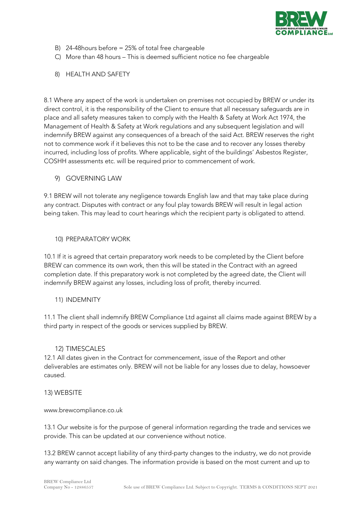

- B) 24-48hours before = 25% of total free chargeable
- C) More than 48 hours This is deemed sufficient notice no fee chargeable
- 8) HEALTH AND SAFETY

8.1 Where any aspect of the work is undertaken on premises not occupied by BREW or under its direct control, it is the responsibility of the Client to ensure that all necessary safeguards are in place and all safety measures taken to comply with the Health & Safety at Work Act 1974, the Management of Health & Safety at Work regulations and any subsequent legislation and will indemnify BREW against any consequences of a breach of the said Act. BREW reserves the right not to commence work if it believes this not to be the case and to recover any losses thereby incurred, including loss of profits. Where applicable, sight of the buildings' Asbestos Register, COSHH assessments etc. will be required prior to commencement of work.

9) GOVERNING LAW

9.1 BREW will not tolerate any negligence towards English law and that may take place during any contract. Disputes with contract or any foul play towards BREW will result in legal action being taken. This may lead to court hearings which the recipient party is obligated to attend.

10) PREPARATORY WORK

10.1 If it is agreed that certain preparatory work needs to be completed by the Client before BREW can commence its own work, then this will be stated in the Contract with an agreed completion date. If this preparatory work is not completed by the agreed date, the Client will indemnify BREW against any losses, including loss of profit, thereby incurred.

11) INDEMNITY

11.1 The client shall indemnify BREW Compliance Ltd against all claims made against BREW by a third party in respect of the goods or services supplied by BREW.

### 12) TIMESCALES

12.1 All dates given in the Contract for commencement, issue of the Report and other deliverables are estimates only. BREW will not be liable for any losses due to delay, howsoever caused.

### 13) WEBSITE

### www.brewcompliance.co.uk

13.1 Our website is for the purpose of general information regarding the trade and services we provide. This can be updated at our convenience without notice.

13.2 BREW cannot accept liability of any third-party changes to the industry, we do not provide any warranty on said changes. The information provide is based on the most current and up to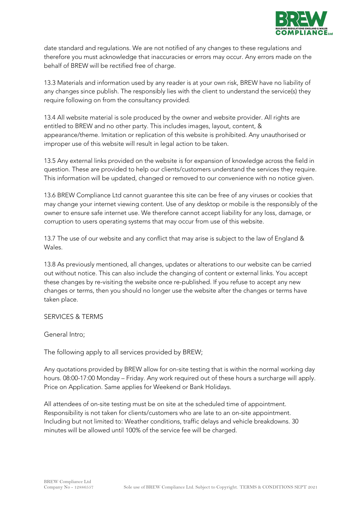

date standard and regulations. We are not notified of any changes to these regulations and therefore you must acknowledge that inaccuracies or errors may occur. Any errors made on the behalf of BREW will be rectified free of charge.

13.3 Materials and information used by any reader is at your own risk, BREW have no liability of any changes since publish. The responsibly lies with the client to understand the service(s) they require following on from the consultancy provided.

13.4 All website material is sole produced by the owner and website provider. All rights are entitled to BREW and no other party. This includes images, layout, content, & appearance/theme. Imitation or replication of this website is prohibited. Any unauthorised or improper use of this website will result in legal action to be taken.

13.5 Any external links provided on the website is for expansion of knowledge across the field in question. These are provided to help our clients/customers understand the services they require. This information will be updated, changed or removed to our convenience with no notice given.

13.6 BREW Compliance Ltd cannot guarantee this site can be free of any viruses or cookies that may change your internet viewing content. Use of any desktop or mobile is the responsibly of the owner to ensure safe internet use. We therefore cannot accept liability for any loss, damage, or corruption to users operating systems that may occur from use of this website.

13.7 The use of our website and any conflict that may arise is subject to the law of England & Wales.

13.8 As previously mentioned, all changes, updates or alterations to our website can be carried out without notice. This can also include the changing of content or external links. You accept these changes by re-visiting the website once re-published. If you refuse to accept any new changes or terms, then you should no longer use the website after the changes or terms have taken place.

SERVICES & TERMS

General Intro;

The following apply to all services provided by BREW;

Any quotations provided by BREW allow for on-site testing that is within the normal working day hours. 08:00-17:00 Monday – Friday. Any work required out of these hours a surcharge will apply. Price on Application. Same applies for Weekend or Bank Holidays.

All attendees of on-site testing must be on site at the scheduled time of appointment. Responsibility is not taken for clients/customers who are late to an on-site appointment. Including but not limited to: Weather conditions, traffic delays and vehicle breakdowns. 30 minutes will be allowed until 100% of the service fee will be charged.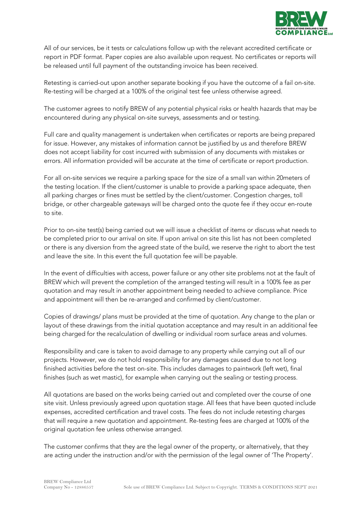

All of our services, be it tests or calculations follow up with the relevant accredited certificate or report in PDF format. Paper copies are also available upon request. No certificates or reports will be released until full payment of the outstanding invoice has been received.

Retesting is carried-out upon another separate booking if you have the outcome of a fail on-site. Re-testing will be charged at a 100% of the original test fee unless otherwise agreed.

The customer agrees to notify BREW of any potential physical risks or health hazards that may be encountered during any physical on-site surveys, assessments and or testing.

Full care and quality management is undertaken when certificates or reports are being prepared for issue. However, any mistakes of information cannot be justified by us and therefore BREW does not accept liability for cost incurred with submission of any documents with mistakes or errors. All information provided will be accurate at the time of certificate or report production.

For all on-site services we require a parking space for the size of a small van within 20meters of the testing location. If the client/customer is unable to provide a parking space adequate, then all parking charges or fines must be settled by the client/customer. Congestion charges, toll bridge, or other chargeable gateways will be charged onto the quote fee if they occur en-route to site.

Prior to on-site test(s) being carried out we will issue a checklist of items or discuss what needs to be completed prior to our arrival on site. If upon arrival on site this list has not been completed or there is any diversion from the agreed state of the build, we reserve the right to abort the test and leave the site. In this event the full quotation fee will be payable.

In the event of difficulties with access, power failure or any other site problems not at the fault of BREW which will prevent the completion of the arranged testing will result in a 100% fee as per quotation and may result in another appointment being needed to achieve compliance. Price and appointment will then be re-arranged and confirmed by client/customer.

Copies of drawings/ plans must be provided at the time of quotation. Any change to the plan or layout of these drawings from the initial quotation acceptance and may result in an additional fee being charged for the recalculation of dwelling or individual room surface areas and volumes.

Responsibility and care is taken to avoid damage to any property while carrying out all of our projects. However, we do not hold responsibility for any damages caused due to not long finished activities before the test on-site. This includes damages to paintwork (left wet), final finishes (such as wet mastic), for example when carrying out the sealing or testing process.

All quotations are based on the works being carried out and completed over the course of one site visit. Unless previously agreed upon quotation stage. All fees that have been quoted include expenses, accredited certification and travel costs. The fees do not include retesting charges that will require a new quotation and appointment. Re-testing fees are charged at 100% of the original quotation fee unless otherwise arranged.

The customer confirms that they are the legal owner of the property, or alternatively, that they are acting under the instruction and/or with the permission of the legal owner of 'The Property'.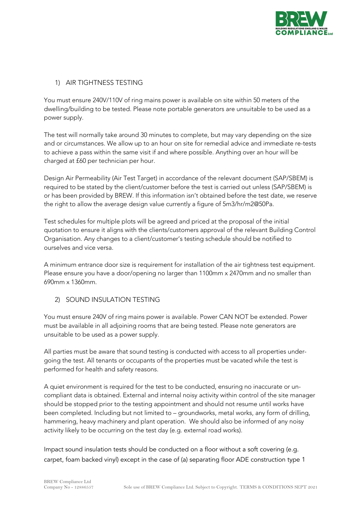

# 1) AIR TIGHTNESS TESTING

You must ensure 240V/110V of ring mains power is available on site within 50 meters of the dwelling/building to be tested. Please note portable generators are unsuitable to be used as a power supply.

The test will normally take around 30 minutes to complete, but may vary depending on the size and or circumstances. We allow up to an hour on site for remedial advice and immediate re-tests to achieve a pass within the same visit if and where possible. Anything over an hour will be charged at £60 per technician per hour.

Design Air Permeability (Air Test Target) in accordance of the relevant document (SAP/SBEM) is required to be stated by the client/customer before the test is carried out unless (SAP/SBEM) is or has been provided by BREW. If this information isn't obtained before the test date, we reserve the right to allow the average design value currently a figure of 5m3/hr/m2@50Pa.

Test schedules for multiple plots will be agreed and priced at the proposal of the initial quotation to ensure it aligns with the clients/customers approval of the relevant Building Control Organisation. Any changes to a client/customer's testing schedule should be notified to ourselves and vice versa.

A minimum entrance door size is requirement for installation of the air tightness test equipment. Please ensure you have a door/opening no larger than 1100mm x 2470mm and no smaller than 690mm x 1360mm.

# 2) SOUND INSULATION TESTING

You must ensure 240V of ring mains power is available. Power CAN NOT be extended. Power must be available in all adjoining rooms that are being tested. Please note generators are unsuitable to be used as a power supply.

All parties must be aware that sound testing is conducted with access to all properties undergoing the test. All tenants or occupants of the properties must be vacated while the test is performed for health and safety reasons.

A quiet environment is required for the test to be conducted, ensuring no inaccurate or uncompliant data is obtained. External and internal noisy activity within control of the site manager should be stopped prior to the testing appointment and should not resume until works have been completed. Including but not limited to – groundworks, metal works, any form of drilling, hammering, heavy machinery and plant operation. We should also be informed of any noisy activity likely to be occurring on the test day (e.g. external road works).

Impact sound insulation tests should be conducted on a floor without a soft covering (e.g. carpet, foam backed vinyl) except in the case of (a) separating floor ADE construction type 1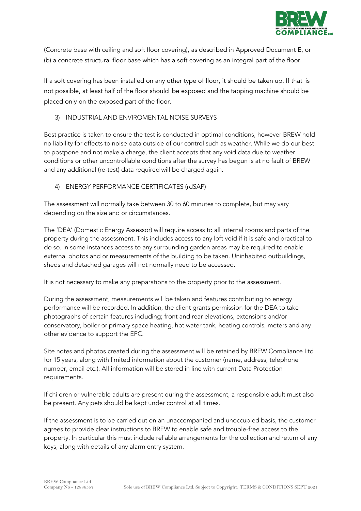

(Concrete base with ceiling and soft floor covering), as described in Approved Document E, or (b) a concrete structural floor base which has a soft covering as an integral part of the floor.

If a soft covering has been installed on any other type of floor, it should be taken up. If that is not possible, at least half of the floor should be exposed and the tapping machine should be placed only on the exposed part of the floor.

# 3) INDUSTRIAL AND ENVIROMENTAL NOISE SURVEYS

Best practice is taken to ensure the test is conducted in optimal conditions, however BREW hold no liability for effects to noise data outside of our control such as weather. While we do our best to postpone and not make a charge, the client accepts that any void data due to weather conditions or other uncontrollable conditions after the survey has begun is at no fault of BREW and any additional (re-test) data required will be charged again.

# 4) ENERGY PERFORMANCE CERTIFICATES (rdSAP)

The assessment will normally take between 30 to 60 minutes to complete, but may vary depending on the size and or circumstances.

The 'DEA' (Domestic Energy Assessor) will require access to all internal rooms and parts of the property during the assessment. This includes access to any loft void if it is safe and practical to do so. In some instances access to any surrounding garden areas may be required to enable external photos and or measurements of the building to be taken. Uninhabited outbuildings, sheds and detached garages will not normally need to be accessed.

It is not necessary to make any preparations to the property prior to the assessment.

During the assessment, measurements will be taken and features contributing to energy performance will be recorded. In addition, the client grants permission for the DEA to take photographs of certain features including; front and rear elevations, extensions and/or conservatory, boiler or primary space heating, hot water tank, heating controls, meters and any other evidence to support the EPC.

Site notes and photos created during the assessment will be retained by BREW Compliance Ltd for 15 years, along with limited information about the customer (name, address, telephone number, email etc.). All information will be stored in line with current Data Protection requirements.

If children or vulnerable adults are present during the assessment, a responsible adult must also be present. Any pets should be kept under control at all times.

If the assessment is to be carried out on an unaccompanied and unoccupied basis, the customer agrees to provide clear instructions to BREW to enable safe and trouble-free access to the property. In particular this must include reliable arrangements for the collection and return of any keys, along with details of any alarm entry system.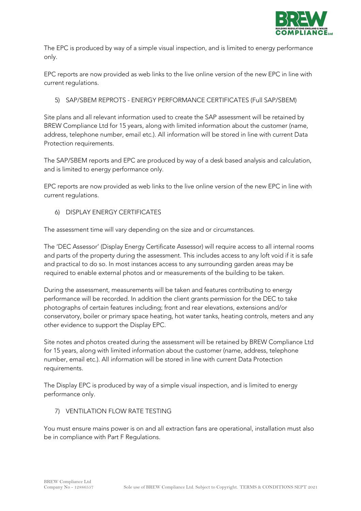

The EPC is produced by way of a simple visual inspection, and is limited to energy performance only.

EPC reports are now provided as web links to the live online version of the new EPC in line with current regulations.

### 5) SAP/SBEM REPROTS - ENERGY PERFORMANCE CERTIFICATES (Full SAP/SBEM)

Site plans and all relevant information used to create the SAP assessment will be retained by BREW Compliance Ltd for 15 years, along with limited information about the customer (name, address, telephone number, email etc.). All information will be stored in line with current Data Protection requirements.

The SAP/SBEM reports and EPC are produced by way of a desk based analysis and calculation, and is limited to energy performance only.

EPC reports are now provided as web links to the live online version of the new EPC in line with current regulations.

6) DISPLAY ENERGY CERTIFICATES

The assessment time will vary depending on the size and or circumstances.

The 'DEC Assessor' (Display Energy Certificate Assessor) will require access to all internal rooms and parts of the property during the assessment. This includes access to any loft void if it is safe and practical to do so. In most instances access to any surrounding garden areas may be required to enable external photos and or measurements of the building to be taken.

During the assessment, measurements will be taken and features contributing to energy performance will be recorded. In addition the client grants permission for the DEC to take photographs of certain features including; front and rear elevations, extensions and/or conservatory, boiler or primary space heating, hot water tanks, heating controls, meters and any other evidence to support the Display EPC.

Site notes and photos created during the assessment will be retained by BREW Compliance Ltd for 15 years, along with limited information about the customer (name, address, telephone number, email etc.). All information will be stored in line with current Data Protection requirements.

The Display EPC is produced by way of a simple visual inspection, and is limited to energy performance only.

### 7) VENTILATION FLOW RATE TESTING

You must ensure mains power is on and all extraction fans are operational, installation must also be in compliance with Part F Regulations.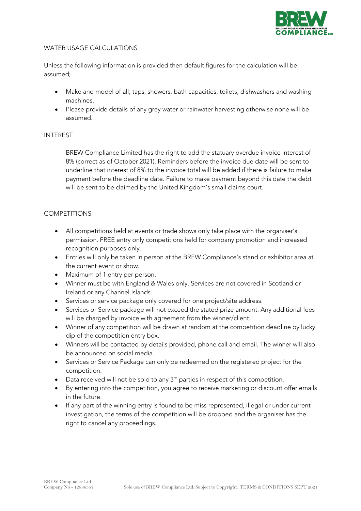

### WATER USAGE CALCULATIONS

Unless the following information is provided then default figures for the calculation will be assumed;

- Make and model of all; taps, showers, bath capacities, toilets, dishwashers and washing machines.
- Please provide details of any grey water or rainwater harvesting otherwise none will be assumed.

#### INTEREST

BREW Compliance Limited has the right to add the statuary overdue invoice interest of 8% (correct as of October 2021). Reminders before the invoice due date will be sent to underline that interest of 8% to the invoice total will be added if there is failure to make payment before the deadline date. Failure to make payment beyond this date the debt will be sent to be claimed by the United Kingdom's small claims court.

#### **COMPETITIONS**

- All competitions held at events or trade shows only take place with the organiser's permission. FREE entry only competitions held for company promotion and increased recognition purposes only.
- Entries will only be taken in person at the BREW Compliance's stand or exhibitor area at the current event or show.
- Maximum of 1 entry per person.
- Winner must be with England & Wales only. Services are not covered in Scotland or Ireland or any Channel Islands.
- Services or service package only covered for one project/site address.
- Services or Service package will not exceed the stated prize amount. Any additional fees will be charged by invoice with agreement from the winner/client.
- Winner of any competition will be drawn at random at the competition deadline by lucky dip of the competition entry box.
- Winners will be contacted by details provided, phone call and email. The winner will also be announced on social media.
- Services or Service Package can only be redeemed on the registered project for the competition.
- Data received will not be sold to any 3<sup>rd</sup> parties in respect of this competition.
- By entering into the competition, you agree to receive marketing or discount offer emails in the future.
- If any part of the winning entry is found to be miss represented, illegal or under current investigation, the terms of the competition will be dropped and the organiser has the right to cancel any proceedings.